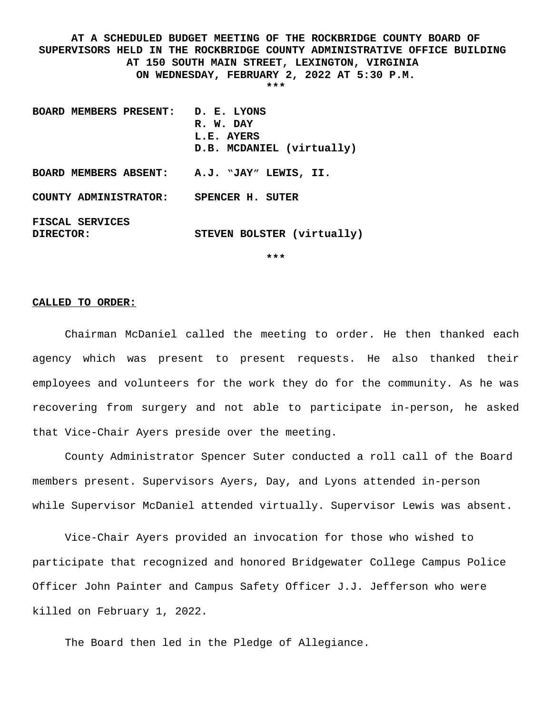**AT A SCHEDULED BUDGET MEETING OF THE ROCKBRIDGE COUNTY BOARD OF SUPERVISORS HELD IN THE ROCKBRIDGE COUNTY ADMINISTRATIVE OFFICE BUILDING AT 150 SOUTH MAIN STREET, LEXINGTON, VIRGINIA ON WEDNESDAY, FEBRUARY 2, 2022 AT 5:30 P.M. \*\*\***

**BOARD MEMBERS PRESENT: D. E. LYONS R. W. DAY L.E. AYERS D.B. MCDANIEL (virtually) BOARD MEMBERS ABSENT: A.J. "JAY" LEWIS, II. COUNTY ADMINISTRATOR: SPENCER H. SUTER FISCAL SERVICES DIRECTOR: STEVEN BOLSTER (virtually)**

**\*\*\***

## **CALLED TO ORDER:**

Chairman McDaniel called the meeting to order. He then thanked each agency which was present to present requests. He also thanked their employees and volunteers for the work they do for the community. As he was recovering from surgery and not able to participate in-person, he asked that Vice-Chair Ayers preside over the meeting.

County Administrator Spencer Suter conducted a roll call of the Board members present. Supervisors Ayers, Day, and Lyons attended in-person while Supervisor McDaniel attended virtually. Supervisor Lewis was absent.

Vice-Chair Ayers provided an invocation for those who wished to participate that recognized and honored Bridgewater College Campus Police Officer John Painter and Campus Safety Officer J.J. Jefferson who were killed on February 1, 2022.

The Board then led in the Pledge of Allegiance.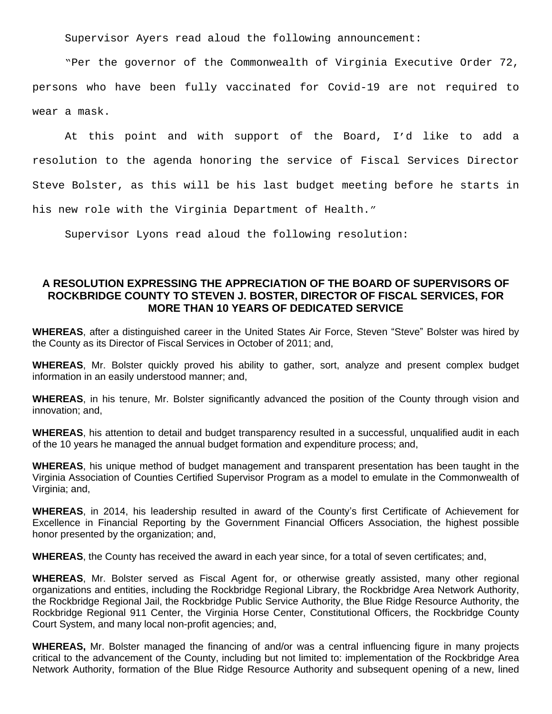Supervisor Ayers read aloud the following announcement:

"Per the governor of the Commonwealth of Virginia Executive Order 72, persons who have been fully vaccinated for Covid-19 are not required to wear a mask.

At this point and with support of the Board, I'd like to add a resolution to the agenda honoring the service of Fiscal Services Director Steve Bolster, as this will be his last budget meeting before he starts in his new role with the Virginia Department of Health."

Supervisor Lyons read aloud the following resolution:

## **A RESOLUTION EXPRESSING THE APPRECIATION OF THE BOARD OF SUPERVISORS OF ROCKBRIDGE COUNTY TO STEVEN J. BOSTER, DIRECTOR OF FISCAL SERVICES, FOR MORE THAN 10 YEARS OF DEDICATED SERVICE**

WHEREAS, after a distinguished career in the United States Air Force, Steven "Steve" Bolster was hired by the County as its Director of Fiscal Services in October of 2011; and,

**WHEREAS**, Mr. Bolster quickly proved his ability to gather, sort, analyze and present complex budget information in an easily understood manner; and,

**WHEREAS**, in his tenure, Mr. Bolster significantly advanced the position of the County through vision and innovation; and,

**WHEREAS**, his attention to detail and budget transparency resulted in a successful, unqualified audit in each of the 10 years he managed the annual budget formation and expenditure process; and,

**WHEREAS**, his unique method of budget management and transparent presentation has been taught in the Virginia Association of Counties Certified Supervisor Program as a model to emulate in the Commonwealth of Virginia; and,

**WHEREAS**, in 2014, his leadership resulted in award of the County's first Certificate of Achievement for Excellence in Financial Reporting by the Government Financial Officers Association, the highest possible honor presented by the organization; and,

**WHEREAS**, the County has received the award in each year since, for a total of seven certificates; and,

**WHEREAS**, Mr. Bolster served as Fiscal Agent for, or otherwise greatly assisted, many other regional organizations and entities, including the Rockbridge Regional Library, the Rockbridge Area Network Authority, the Rockbridge Regional Jail, the Rockbridge Public Service Authority, the Blue Ridge Resource Authority, the Rockbridge Regional 911 Center, the Virginia Horse Center, Constitutional Officers, the Rockbridge County Court System, and many local non-profit agencies; and,

**WHEREAS,** Mr. Bolster managed the financing of and/or was a central influencing figure in many projects critical to the advancement of the County, including but not limited to: implementation of the Rockbridge Area Network Authority, formation of the Blue Ridge Resource Authority and subsequent opening of a new, lined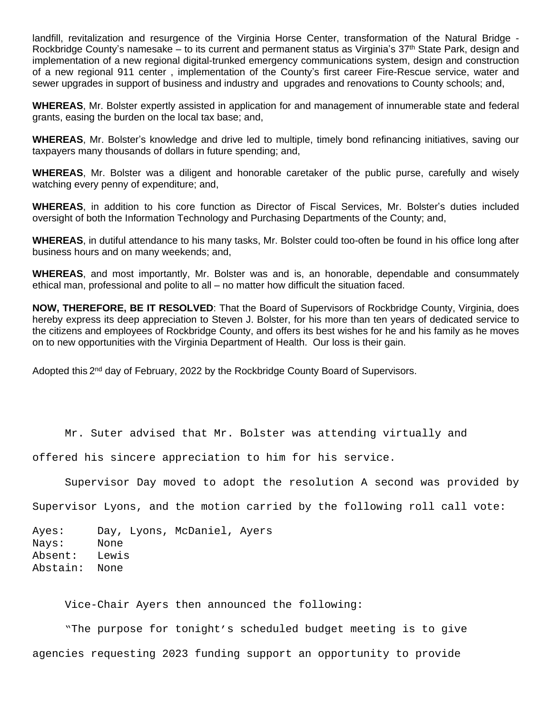landfill, revitalization and resurgence of the Virginia Horse Center, transformation of the Natural Bridge - Rockbridge County's namesake – to its current and permanent status as Virginia's 37<sup>th</sup> State Park, design and implementation of a new regional digital-trunked emergency communications system, design and construction of a new regional 911 center , implementation of the County's first career Fire-Rescue service, water and sewer upgrades in support of business and industry and upgrades and renovations to County schools; and,

**WHEREAS**, Mr. Bolster expertly assisted in application for and management of innumerable state and federal grants, easing the burden on the local tax base; and,

**WHEREAS**, Mr. Bolster's knowledge and drive led to multiple, timely bond refinancing initiatives, saving our taxpayers many thousands of dollars in future spending; and,

**WHEREAS**, Mr. Bolster was a diligent and honorable caretaker of the public purse, carefully and wisely watching every penny of expenditure; and,

**WHEREAS**, in addition to his core function as Director of Fiscal Services, Mr. Bolster's duties included oversight of both the Information Technology and Purchasing Departments of the County; and,

**WHEREAS**, in dutiful attendance to his many tasks, Mr. Bolster could too-often be found in his office long after business hours and on many weekends; and,

**WHEREAS**, and most importantly, Mr. Bolster was and is, an honorable, dependable and consummately ethical man, professional and polite to all – no matter how difficult the situation faced.

**NOW, THEREFORE, BE IT RESOLVED**: That the Board of Supervisors of Rockbridge County, Virginia, does hereby express its deep appreciation to Steven J. Bolster, for his more than ten years of dedicated service to the citizens and employees of Rockbridge County, and offers its best wishes for he and his family as he moves on to new opportunities with the Virginia Department of Health. Our loss is their gain.

Adopted this 2<sup>nd</sup> day of February, 2022 by the Rockbridge County Board of Supervisors.

Mr. Suter advised that Mr. Bolster was attending virtually and

offered his sincere appreciation to him for his service.

Supervisor Day moved to adopt the resolution A second was provided by

Supervisor Lyons, and the motion carried by the following roll call vote:

Ayes: Day, Lyons, McDaniel, Ayers Nays: None Absent: Lewis Abstain: None

Vice-Chair Ayers then announced the following:

 "The purpose for tonight's scheduled budget meeting is to give agencies requesting 2023 funding support an opportunity to provide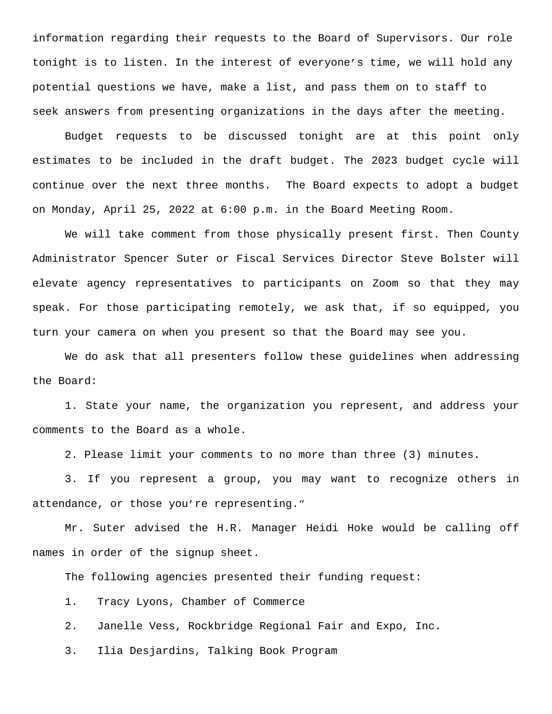information regarding their requests to the Board of Supervisors. Our role tonight is to listen. In the interest of everyone's time, we will hold any potential questions we have, make a list, and pass them on to staff to seek answers from presenting organizations in the days after the meeting.

Budget requests to be discussed tonight are at this point only estimates to be included in the draft budget. The 2023 budget cycle will continue over the next three months. The Board expects to adopt a budget on Monday, April 25, 2022 at 6:00 p.m. in the Board Meeting Room.

We will take comment from those physically present first. Then County Administrator Spencer Suter or Fiscal Services Director Steve Bolster will elevate agency representatives to participants on Zoom so that they may speak. For those participating remotely, we ask that, if so equipped, you turn your camera on when you present so that the Board may see you.

We do ask that all presenters follow these guidelines when addressing the Board:

1. State your name, the organization you represent, and address your comments to the Board as a whole.

2. Please limit your comments to no more than three (3) minutes.

3. If you represent a group, you may want to recognize others in attendance, or those you're representing."

Mr. Suter advised the H.R. Manager Heidi Hoke would be calling off names in order of the signup sheet.

The following agencies presented their funding request:

1. Tracy Lyons, Chamber of Commerce

2. Janelle Vess, Rockbridge Regional Fair and Expo, Inc.

3. Ilia Desjardins, Talking Book Program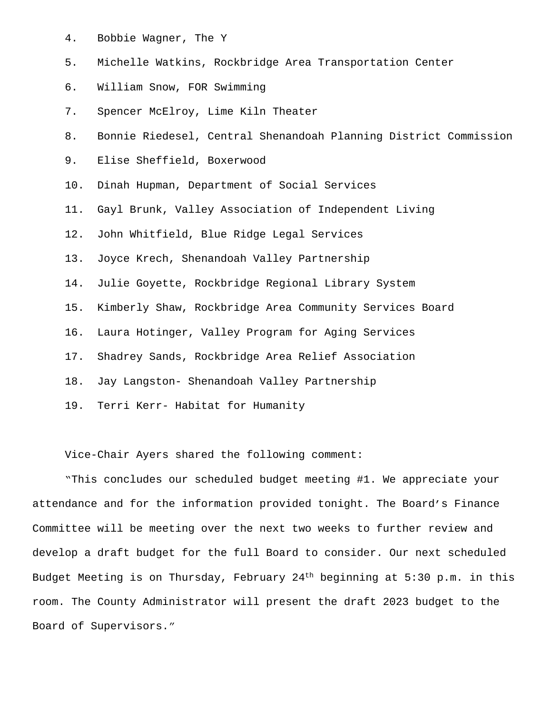- 4. Bobbie Wagner, The Y
- 5. Michelle Watkins, Rockbridge Area Transportation Center
- 6. William Snow, FOR Swimming
- 7. Spencer McElroy, Lime Kiln Theater
- 8. Bonnie Riedesel, Central Shenandoah Planning District Commission
- 9. Elise Sheffield, Boxerwood
- 10. Dinah Hupman, Department of Social Services
- 11. Gayl Brunk, Valley Association of Independent Living
- 12. John Whitfield, Blue Ridge Legal Services
- 13. Joyce Krech, Shenandoah Valley Partnership
- 14. Julie Goyette, Rockbridge Regional Library System
- 15. Kimberly Shaw, Rockbridge Area Community Services Board
- 16. Laura Hotinger, Valley Program for Aging Services
- 17. Shadrey Sands, Rockbridge Area Relief Association
- 18. Jay Langston- Shenandoah Valley Partnership
- 19. Terri Kerr- Habitat for Humanity

Vice-Chair Ayers shared the following comment:

"This concludes our scheduled budget meeting #1. We appreciate your attendance and for the information provided tonight. The Board's Finance Committee will be meeting over the next two weeks to further review and develop a draft budget for the full Board to consider. Our next scheduled Budget Meeting is on Thursday, February 24th beginning at 5:30 p.m. in this room. The County Administrator will present the draft 2023 budget to the Board of Supervisors."